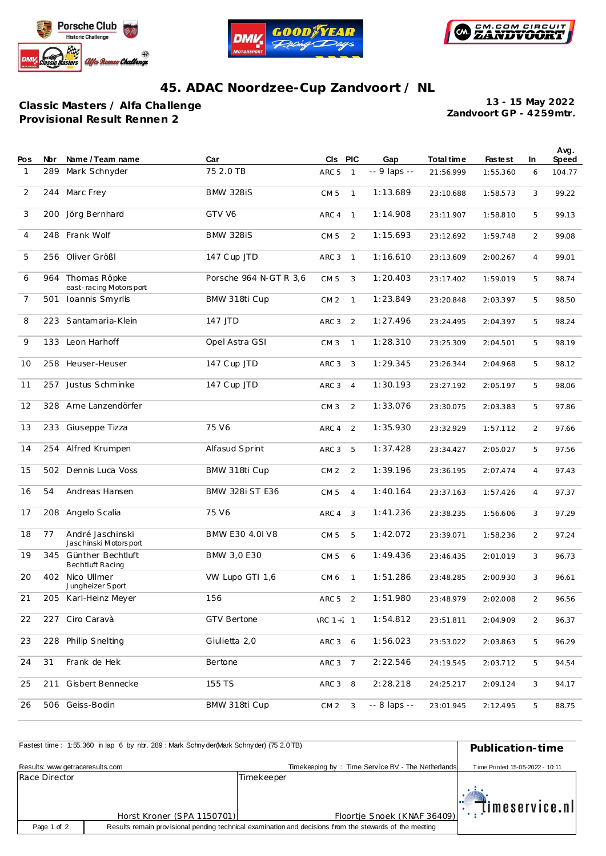





## **45. ADAC Noordzee-Cup Zandvoort / NL**

**Classic Masters / Alfa Challenge Prov isional Result Rennen 2**

**Zandvoort GP - 4259mtr. 13 - 15 May 2022**

| Pos            | Nbr | Name / Team name                          | Car                    | CIS PIC          |                | Gap          | Total time | <b>Fastest</b> | In.            | Avg.<br>Speed |
|----------------|-----|-------------------------------------------|------------------------|------------------|----------------|--------------|------------|----------------|----------------|---------------|
| $\mathbf{1}$   | 289 | Mark Schnyder                             | 75 2.0 TB              | ARC <sub>5</sub> | $\mathbf{1}$   | -- 9 laps -- | 21:56.999  | 1:55.360       | 6              | 104.77        |
| 2              | 244 | Marc Frey                                 | <b>BMW 328iS</b>       | CM <sub>5</sub>  | $\mathbf{1}$   | 1:13.689     | 23:10.688  | 1:58.573       | 3              | 99.22         |
| 3              | 200 | Jörg Bernhard                             | GTV V6                 | ARC 4            | $\mathbf{1}$   | 1:14.908     | 23:11.907  | 1:58.810       | 5              | 99.13         |
| $\overline{4}$ |     | 248 Frank Wolf                            | <b>BMW 328iS</b>       | CM <sub>5</sub>  | 2              | 1:15.693     | 23:12.692  | 1:59.748       | $\overline{2}$ | 99.08         |
| 5              | 256 | Oliver Größl                              | 147 Cup JTD            | ARC <sub>3</sub> | $\mathbf{1}$   | 1:16.610     | 23:13.609  | 2:00.267       | 4              | 99.01         |
| 6              | 964 | Thomas Röpke<br>east-racing Motorsport    | Porsche 964 N-GT R 3,6 | CM <sub>5</sub>  | 3              | 1:20.403     | 23:17.402  | 1:59.019       | 5              | 98.74         |
| $\overline{7}$ | 501 | Ioannis Smyrlis                           | BMW 318ti Cup          | CM <sub>2</sub>  | $\mathbf{1}$   | 1:23.849     | 23:20.848  | 2:03.397       | 5              | 98.50         |
| 8              |     | 223 Santamaria-Klein                      | 147 JTD                | ARC <sub>3</sub> | 2              | 1:27.496     | 23:24.495  | 2:04.397       | 5              | 98.24         |
| 9              | 133 | Leon Harhoff                              | Opel Astra GSI         | CM <sub>3</sub>  | $\mathbf{1}$   | 1:28.310     | 23:25.309  | 2:04.501       | 5              | 98.19         |
| 10             | 258 | Heuser-Heuser                             | 147 Cup JTD            | ARC <sub>3</sub> | 3              | 1:29.345     | 23:26.344  | 2:04.968       | 5              | 98.12         |
| 11             | 257 | Justus Schminke                           | 147 Cup JTD            | ARC <sub>3</sub> | $\overline{4}$ | 1:30.193     | 23:27.192  | 2:05.197       | 5              | 98.06         |
| 12             | 328 | Arne Lanzendörfer                         |                        | CM <sub>3</sub>  | 2              | 1:33.076     | 23:30.075  | 2:03.383       | 5              | 97.86         |
| 13             | 233 | Giuseppe Tizza                            | 75 V6                  | ARC 4            | 2              | 1:35.930     | 23:32.929  | 1:57.112       | 2              | 97.66         |
| 14             | 254 | Alfred Krumpen                            | Alfasud Sprint         | ARC <sub>3</sub> | 5              | 1:37.428     | 23:34.427  | 2:05.027       | 5              | 97.56         |
| 15             | 502 | Dennis Luca Voss                          | BMW 318ti Cup          | CM <sub>2</sub>  | 2              | 1:39.196     | 23:36.195  | 2:07.474       | $\overline{4}$ | 97.43         |
| 16             | 54  | Andreas Hansen                            | <b>BMW 328i ST E36</b> | CM <sub>5</sub>  | $\overline{4}$ | 1:40.164     | 23:37.163  | 1:57.426       | $\overline{4}$ | 97.37         |
| 17             | 208 | Angelo Scalia                             | 75 V6                  | ARC 4            | 3              | 1:41.236     | 23:38.235  | 1:56.606       | 3              | 97.29         |
| 18             | 77  | André Jaschinski<br>Jaschinski Motorsport | BMW E30 4.0I V8        | CM <sub>5</sub>  | 5              | 1:42.072     | 23:39.071  | 1:58.236       | 2              | 97.24         |
| 19             | 345 | Günther Bechtluft<br>Bechtluft Racing     | BMW 3,0 E30            | CM <sub>5</sub>  | 6              | 1:49.436     | 23:46.435  | 2:01.019       | 3              | 96.73         |
| 20             | 402 | Nico Ullmer<br>Jungheizer Sport           | VW Lupo GTI 1,6        | CM <sub>6</sub>  | $\mathbf{1}$   | 1:51.286     | 23:48.285  | 2:00.930       | 3              | 96.61         |
| 21             | 205 | Karl-Heinz Meyer                          | 156                    | ARC 5            | 2              | 1:51.980     | 23:48.979  | 2:02.008       | $\overline{2}$ | 96.56         |
| 22             |     | 227 Ciro Caravà                           | <b>GTV Bertone</b>     | $RC 1 + 1$       |                | 1:54.812     | 23:51.811  | 2:04.909       | 2              | 96.37         |
| 23             | 228 | Philip Snelting                           | Giulietta 2,0          | ARC 3 6          |                | 1:56.023     | 23:53.022  | 2:03.863       | 5              | 96.29         |
| 24             | 31  | Frank de Hek                              | Bertone                | ARC 3            | $\overline{7}$ | 2:22.546     | 24:19.545  | 2:03.712       | 5              | 94.54         |
| 25             | 211 | Gisbert Bennecke                          | 155 TS                 | ARC 3            | 8              | 2:28.218     | 24:25.217  | 2:09.124       | 3              | 94.17         |
| 26             |     | 506 Geiss-Bodin                           | BMW 318ti Cup          | CM <sub>2</sub>  | 3              | -- 8 laps -- | 23:01.945  | 2:12.495       | 5              | 88.75         |

| Fastest time: 1:55.360 in lap 6 by nbr. 289: Mark Schny der (Mark Schny der) (75 2.0 TB) | Publication-time           |                                                   |                                 |
|------------------------------------------------------------------------------------------|----------------------------|---------------------------------------------------|---------------------------------|
| Results: www.getraceresults.com                                                          |                            | Timekeeping by: Time Service BV - The Netherlands | Time Printed 15-05-2022 - 10:11 |
| Race Director                                                                            |                            | Timekeeper                                        |                                 |
|                                                                                          | Horst Kroner (SPA 1150701) | Floortje Snoek (KNAF 36409)                       | $\mathbb{T}$ imeservice.nl      |
| Page 1 of 2                                                                              |                            |                                                   |                                 |